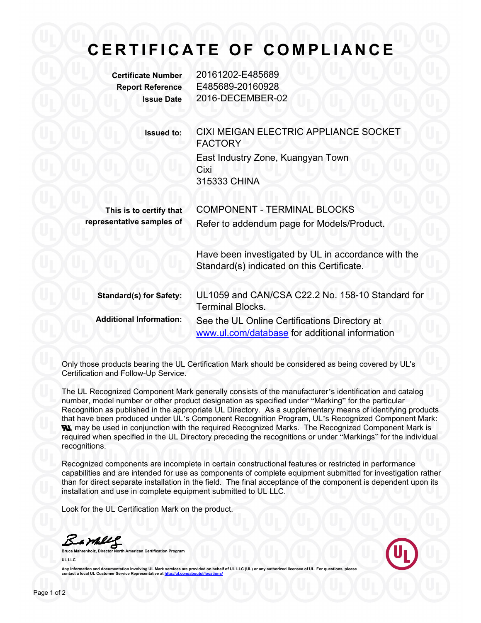## **C E R T I F I C A T E O F C O M P L I A N C E**

**Certificate Number** 20161202-E485689 **Report Reference** E485689-20160928 **Issue Date** 2016-DECEMBER-02

> **Issued to:** CIXI MEIGAN ELECTRIC APPLIANCE SOCKET FACTORY East Industry Zone, Kuangyan Town Cixi 315333 CHINA

| This is to certify that   | <b>COMPONENT - TERMINAL BLOCKS</b>         |
|---------------------------|--------------------------------------------|
| representative samples of | Refer to addendum page for Models/Product. |

Have been investigated by UL in accordance with the Standard(s) indicated on this Certificate.

| <b>Standard(s) for Safety:</b> | UL1059 and CAN/CSA C22.2 No. 158-10 Standard for<br><b>Terminal Blocks.</b>                     |
|--------------------------------|-------------------------------------------------------------------------------------------------|
| <b>Additional Information:</b> | See the UL Online Certifications Directory at<br>www.ul.com/database for additional information |

Only those products bearing the UL Certification Mark should be considered as being covered by UL's Certification and Follow-Up Service.

The UL Recognized Component Mark generally consists of the manufacturer's identification and catalog number, model number or other product designation as specified under "Marking" for the particular Recognition as published in the appropriate UL Directory. As a supplementary means of identifying products that have been produced under UL's Component Recognition Program, UL's Recognized Component Mark: **N.** may be used in conjunction with the required Recognized Marks. The Recognized Component Mark is required when specified in the UL Directory preceding the recognitions or under "Markings" for the individual recognitions.

Recognized components are incomplete in certain constructional features or restricted in performance capabilities and are intended for use as components of complete equipment submitted for investigation rather than for direct separate installation in the field. The final acceptance of the componentis dependent upon its installation and use in complete equipment submitted to UL LLC.

Look for the UL Certification Mark on the product.

**Bruce Mahrenholz, Director North American Certification Program UL LLC**



Any information and documentation involving UL Mark services are provided on behalf of UL LLC (UL) or any **contact a local UL Customer Service Representative at http://www.franchilder.org/**